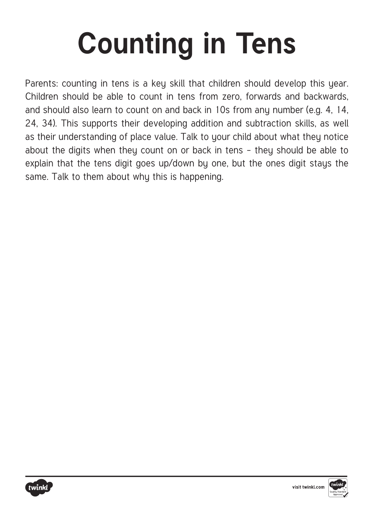## **Counting in Tens**

Parents: counting in tens is a key skill that children should develop this year. Children should be able to count in tens from zero, forwards and backwards, and should also learn to count on and back in 10s from any number (e.g. 4, 14, 24, 34). This supports their developing addition and subtraction skills, as well as their understanding of place value. Talk to your child about what they notice about the digits when they count on or back in tens – they should be able to explain that the tens digit goes up/down by one, but the ones digit stays the same. Talk to them about why this is happening.



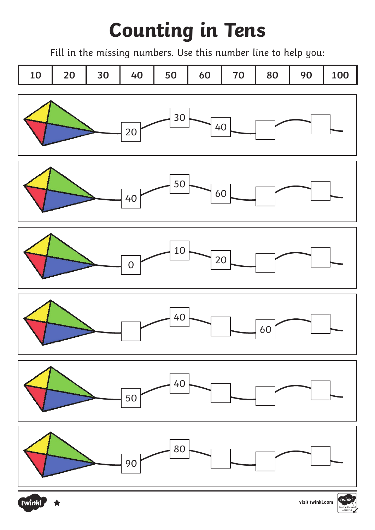## **Counting in Tens**

Fill in the missing numbers. Use this number line to help you: